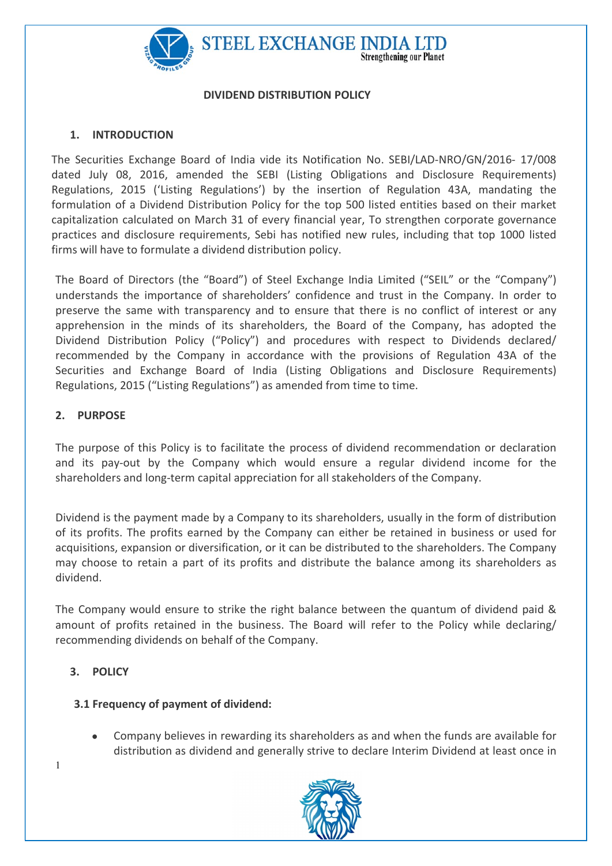

#### DIVIDEND DISTRIBUTION POLICY

### 1. INTRODUCTION

The Securities Exchange Board of India vide its Notification No. SEBI/LAD-NRO/GN/2016- 17/008 dated July 08, 2016, amended the SEBI (Listing Obligations and Disclosure Requirements) Regulations, 2015 ('Listing Regulations') by the insertion of Regulation 43A, mandating the formulation of a Dividend Distribution Policy for the top 500 listed entities based on their market capitalization calculated on March 31 of every financial year, To strengthen corporate governance practices and disclosure requirements, Sebi has notified new rules, including that top 1000 listed firms will have to formulate a dividend distribution policy.

The Board of Directors (the "Board") of Steel Exchange India Limited ("SEIL" or the "Company") understands the importance of shareholders' confidence and trust in the Company. In order to preserve the same with transparency and to ensure that there is no conflict of interest or any apprehension in the minds of its shareholders, the Board of the Company, has adopted the Dividend Distribution Policy ("Policy") and procedures with respect to Dividends declared/ recommended by the Company in accordance with the provisions of Regulation 43A of the Securities and Exchange Board of India (Listing Obligations and Disclosure Requirements) Regulations, 2015 ("Listing Regulations") as amended from time to time.

### 2. PURPOSE

The purpose of this Policy is to facilitate the process of dividend recommendation or declaration and its pay-out by the Company which would ensure a regular dividend income for the shareholders and long-term capital appreciation for all stakeholders of the Company.

Dividend is the payment made by a Company to its shareholders, usually in the form of distribution of its profits. The profits earned by the Company can either be retained in business or used for acquisitions, expansion or diversification, or it can be distributed to the shareholders. The Company may choose to retain a part of its profits and distribute the balance among its shareholders as dividend.

The Company would ensure to strike the right balance between the quantum of dividend paid & amount of profits retained in the business. The Board will refer to the Policy while declaring/ recommending dividends on behalf of the Company.

## 3. POLICY

## 3.1 Frequency of payment of dividend:

 Company believes in rewarding its shareholders as and when the funds are available for distribution as dividend and generally strive to declare Interim Dividend at least once in



1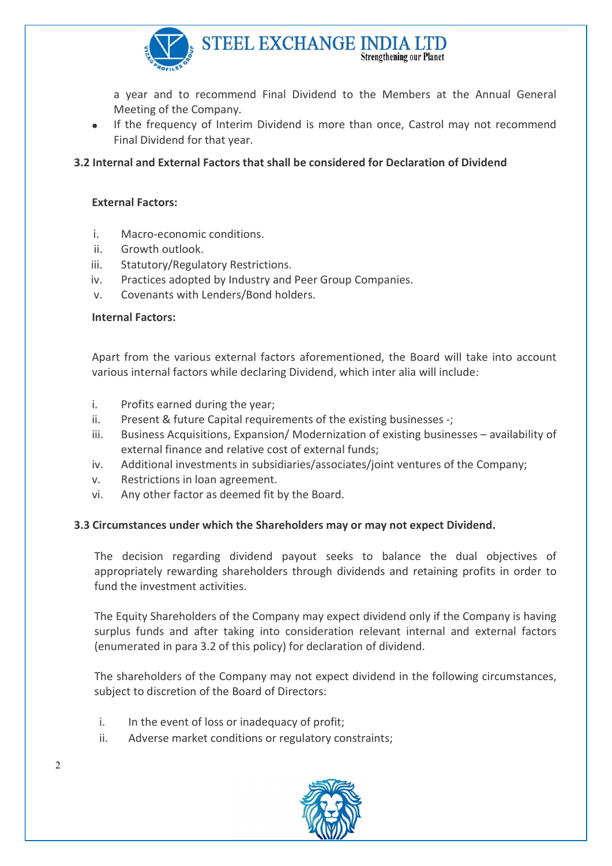

a year and to recommend Final Dividend to the Members at the Annual General Meeting of the Company.

• If the frequency of Interim Dividend is more than once, Castrol may not recommend Final Dividend for that year.

## 3.2 Internal and External Factors that shall be considered for Declaration of Dividend

### External Factors:

- i. Macro-economic conditions.
- ii. Growth outlook.
- iii. Statutory/Regulatory Restrictions.
- iv. Practices adopted by Industry and Peer Group Companies.
- v. Covenants with Lenders/Bond holders.

### Internal Factors:

Apart from the various external factors aforementioned, the Board will take into account various internal factors while declaring Dividend, which inter alia will include:

- i. Profits earned during the year;
- ii. Present & future Capital requirements of the existing businesses -;
- iii. Business Acquisitions, Expansion/ Modernization of existing businesses availability of external finance and relative cost of external funds;
- iv. Additional investments in subsidiaries/associates/joint ventures of the Company;
- v. Restrictions in loan agreement.
- vi. Any other factor as deemed fit by the Board.

### 3.3 Circumstances under which the Shareholders may or may not expect Dividend.

The decision regarding dividend payout seeks to balance the dual objectives of appropriately rewarding shareholders through dividends and retaining profits in order to fund the investment activities.

The Equity Shareholders of the Company may expect dividend only if the Company is having surplus funds and after taking into consideration relevant internal and external factors (enumerated in para 3.2 of this policy) for declaration of dividend.

The shareholders of the Company may not expect dividend in the following circumstances, subject to discretion of the Board of Directors:

- i. In the event of loss or inadequacy of profit;
- ii. Adverse market conditions or regulatory constraints;



 $\mathfrak{D}$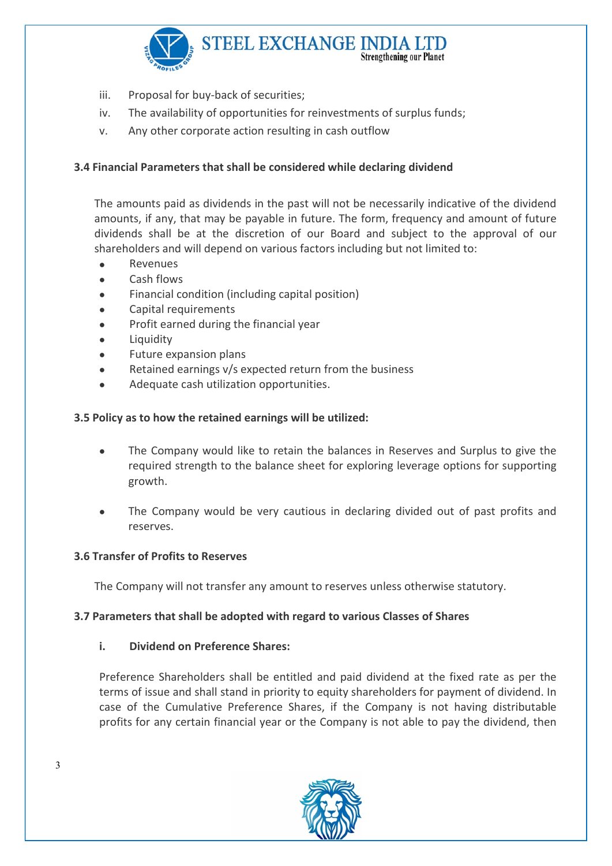

- iii. Proposal for buy-back of securities;
- iv. The availability of opportunities for reinvestments of surplus funds;
- v. Any other corporate action resulting in cash outflow

# 3.4 Financial Parameters that shall be considered while declaring dividend

The amounts paid as dividends in the past will not be necessarily indicative of the dividend amounts, if any, that may be payable in future. The form, frequency and amount of future dividends shall be at the discretion of our Board and subject to the approval of our shareholders and will depend on various factors including but not limited to:

- Revenues
- Cash flows
- Financial condition (including capital position)
- Capital requirements
- Profit earned during the financial year
- Liquidity
- Future expansion plans
- Retained earnings v/s expected return from the business
- Adequate cash utilization opportunities.

## 3.5 Policy as to how the retained earnings will be utilized:

- The Company would like to retain the balances in Reserves and Surplus to give the required strength to the balance sheet for exploring leverage options for supporting growth.
- The Company would be very cautious in declaring divided out of past profits and reserves.

## 3.6 Transfer of Profits to Reserves

The Company will not transfer any amount to reserves unless otherwise statutory.

### 3.7 Parameters that shall be adopted with regard to various Classes of Shares

### i. Dividend on Preference Shares:

Preference Shareholders shall be entitled and paid dividend at the fixed rate as per the terms of issue and shall stand in priority to equity shareholders for payment of dividend. In case of the Cumulative Preference Shares, if the Company is not having distributable profits for any certain financial year or the Company is not able to pay the dividend, then